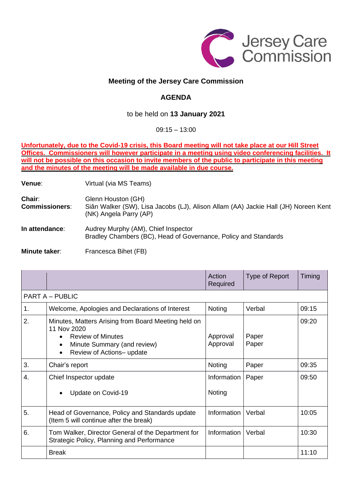

## **Meeting of the Jersey Care Commission**

## **AGENDA**

## to be held on **13 January 2021**

09:15 – 13:00

**Unfortunately, due to the Covid-19 crisis, this Board meeting will not take place at our Hill Street Offices. Commissioners will however participate in a meeting using video conferencing facilities. It** will not be possible on this occasion to invite members of the public to participate in this meeting **and the minutes of the meeting will be made available in due course.**

**Venue:** Virtual (via MS Teams)

**Chair:** Glenn Houston (GH) **Commissioners**: Siân Walker (SW), Lisa Jacobs (LJ), Alison Allam (AA) Jackie Hall (JH) Noreen Kent (NK) Angela Parry (AP) **In attendance:** Audrey Murphy (AM), Chief Inspector Bradley Chambers (BC), Head of Governance, Policy and Standards

**Minute taker:** Francesca Bihet (FB)

|                 |                                                                                                                                                                                      | Action<br>Required    | Type of Report | Timing |  |  |  |
|-----------------|--------------------------------------------------------------------------------------------------------------------------------------------------------------------------------------|-----------------------|----------------|--------|--|--|--|
| PART A - PUBLIC |                                                                                                                                                                                      |                       |                |        |  |  |  |
| 1.              | Welcome, Apologies and Declarations of Interest                                                                                                                                      | Noting                | Verbal         | 09:15  |  |  |  |
| 2.              | Minutes, Matters Arising from Board Meeting held on<br>11 Nov 2020<br><b>Review of Minutes</b><br>Minute Summary (and review)<br>$\bullet$<br>Review of Actions- update<br>$\bullet$ | Approval<br>Approval  | Paper<br>Paper | 09:20  |  |  |  |
| 3.              | Chair's report                                                                                                                                                                       | Noting                | Paper          | 09:35  |  |  |  |
| $\mathbf{4}$    | Chief Inspector update<br>Update on Covid-19                                                                                                                                         | Information<br>Noting | Paper          | 09:50  |  |  |  |
| 5.              | Head of Governance, Policy and Standards update<br>(Item 5 will continue after the break)                                                                                            | Information           | Verbal         | 10:05  |  |  |  |
| 6.              | Tom Walker, Director General of the Department for<br>Strategic Policy, Planning and Performance                                                                                     | Information           | Verbal         | 10:30  |  |  |  |
|                 | <b>Break</b>                                                                                                                                                                         |                       |                | 11:10  |  |  |  |